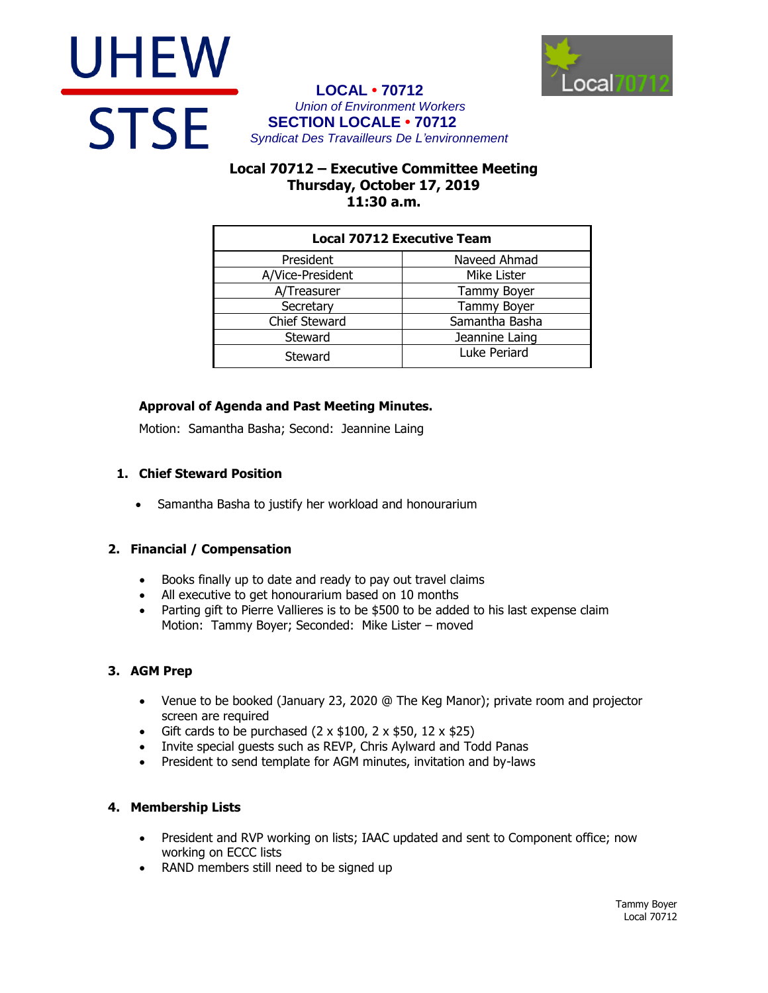



### **LOCAL • 70712** *Union of Environment Workers* **SECTION LOCALE • 70712** *Syndicat Des Travailleurs De L'environnement*

# **Local 70712 – Executive Committee Meeting Thursday, October 17, 2019 11:30 a.m.**

| <b>Local 70712 Executive Team</b> |                |
|-----------------------------------|----------------|
| President                         | Naveed Ahmad   |
| A/Vice-President                  | Mike Lister    |
| A/Treasurer                       | Tammy Boyer    |
| Secretary                         | Tammy Boyer    |
| <b>Chief Steward</b>              | Samantha Basha |
| Steward                           | Jeannine Laing |
| Steward                           | Luke Periard   |

## **Approval of Agenda and Past Meeting Minutes.**

Motion: Samantha Basha; Second: Jeannine Laing

## **1. Chief Steward Position**

Samantha Basha to justify her workload and honourarium

## **2. Financial / Compensation**

- Books finally up to date and ready to pay out travel claims
- All executive to get honourarium based on 10 months
- Parting gift to Pierre Vallieres is to be \$500 to be added to his last expense claim Motion: Tammy Boyer; Seconded: Mike Lister – moved

## **3. AGM Prep**

- Venue to be booked (January 23, 2020 @ The Keg Manor); private room and projector screen are required
- Gift cards to be purchased  $(2 \times $100, 2 \times $50, 12 \times $25)$
- Invite special guests such as REVP, Chris Aylward and Todd Panas
- President to send template for AGM minutes, invitation and by-laws

## **4. Membership Lists**

- President and RVP working on lists; IAAC updated and sent to Component office; now working on ECCC lists
- RAND members still need to be signed up